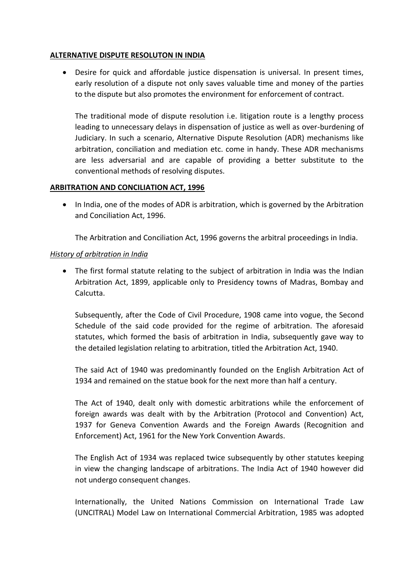### **ALTERNATIVE DISPUTE RESOLUTON IN INDIA**

 Desire for quick and affordable justice dispensation is universal. In present times, early resolution of a dispute not only saves valuable time and money of the parties to the dispute but also promotes the environment for enforcement of contract.

The traditional mode of dispute resolution i.e. litigation route is a lengthy process leading to unnecessary delays in dispensation of justice as well as over-burdening of Judiciary. In such a scenario, Alternative Dispute Resolution (ADR) mechanisms like arbitration, conciliation and mediation etc. come in handy. These ADR mechanisms are less adversarial and are capable of providing a better substitute to the conventional methods of resolving disputes.

#### **ARBITRATION AND CONCILIATION ACT, 1996**

• In India, one of the modes of ADR is arbitration, which is governed by the Arbitration and Conciliation Act, 1996.

The Arbitration and Conciliation Act, 1996 governs the arbitral proceedings in India.

## *History of arbitration in India*

 The first formal statute relating to the subject of arbitration in India was the Indian Arbitration Act, 1899, applicable only to Presidency towns of Madras, Bombay and Calcutta.

Subsequently, after the Code of Civil Procedure, 1908 came into vogue, the Second Schedule of the said code provided for the regime of arbitration. The aforesaid statutes, which formed the basis of arbitration in India, subsequently gave way to the detailed legislation relating to arbitration, titled the Arbitration Act, 1940.

The said Act of 1940 was predominantly founded on the English Arbitration Act of 1934 and remained on the statue book for the next more than half a century.

The Act of 1940, dealt only with domestic arbitrations while the enforcement of foreign awards was dealt with by the Arbitration (Protocol and Convention) Act, 1937 for Geneva Convention Awards and the Foreign Awards (Recognition and Enforcement) Act, 1961 for the New York Convention Awards.

The English Act of 1934 was replaced twice subsequently by other statutes keeping in view the changing landscape of arbitrations. The India Act of 1940 however did not undergo consequent changes.

Internationally, the United Nations Commission on International Trade Law (UNCITRAL) Model Law on International Commercial Arbitration, 1985 was adopted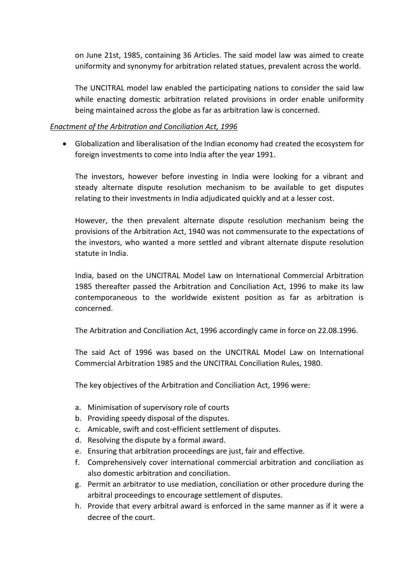on June 21st, 1985, containing 36 Articles. The said model law was aimed to create uniformity and synonymy for arbitration related statues, prevalent across the world.

The UNCITRAL model law enabled the participating nations to consider the said law while enacting domestic arbitration related provisions in order enable uniformity being maintained across the globe as far as arbitration law is concerned.

### *Enactment of the Arbitration and Conciliation Act, 1996*

 Globalization and liberalisation of the Indian economy had created the ecosystem for foreign investments to come into India after the year 1991.

The investors, however before investing in India were looking for a vibrant and steady alternate dispute resolution mechanism to be available to get disputes relating to their investments in India adjudicated quickly and at a lesser cost.

However, the then prevalent alternate dispute resolution mechanism being the provisions of the Arbitration Act, 1940 was not commensurate to the expectations of the investors, who wanted a more settled and vibrant alternate dispute resolution statute in India.

India, based on the UNCITRAL Model Law on International Commercial Arbitration 1985 thereafter passed the Arbitration and Conciliation Act, 1996 to make its law contemporaneous to the worldwide existent position as far as arbitration is concerned.

The Arbitration and Conciliation Act, 1996 accordingly came in force on 22.08.1996.

The said Act of 1996 was based on the UNCITRAL Model Law on International Commercial Arbitration 1985 and the UNCITRAL Conciliation Rules, 1980.

The key objectives of the Arbitration and Conciliation Act, 1996 were:

- a. Minimisation of supervisory role of courts
- b. Providing speedy disposal of the disputes.
- c. Amicable, swift and cost-efficient settlement of disputes.
- d. Resolving the dispute by a formal award.
- e. Ensuring that arbitration proceedings are just, fair and effective.
- f. Comprehensively cover international commercial arbitration and conciliation as also domestic arbitration and conciliation.
- g. Permit an arbitrator to use mediation, conciliation or other procedure during the arbitral proceedings to encourage settlement of disputes.
- h. Provide that every arbitral award is enforced in the same manner as if it were a decree of the court.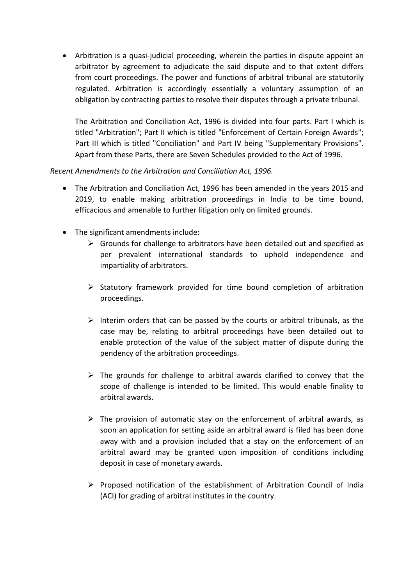Arbitration is a quasi-judicial proceeding, wherein the parties in dispute appoint an arbitrator by agreement to adjudicate the said dispute and to that extent differs from court proceedings. The power and functions of arbitral tribunal are statutorily regulated. Arbitration is accordingly essentially a voluntary assumption of an obligation by contracting parties to resolve their disputes through a private tribunal.

The Arbitration and Conciliation Act, 1996 is divided into four parts. Part I which is titled "Arbitration"; Part II which is titled "Enforcement of Certain Foreign Awards"; Part III which is titled "Conciliation" and Part IV being "Supplementary Provisions". Apart from these Parts, there are Seven Schedules provided to the Act of 1996.

# *Recent Amendments to the Arbitration and Conciliation Act, 1996.*

- The Arbitration and Conciliation Act, 1996 has been amended in the years 2015 and 2019, to enable making arbitration proceedings in India to be time bound, efficacious and amenable to further litigation only on limited grounds.
- The significant amendments include:
	- $\triangleright$  Grounds for challenge to arbitrators have been detailed out and specified as per prevalent international standards to uphold independence and impartiality of arbitrators.
	- $\triangleright$  Statutory framework provided for time bound completion of arbitration proceedings.
	- $\triangleright$  Interim orders that can be passed by the courts or arbitral tribunals, as the case may be, relating to arbitral proceedings have been detailed out to enable protection of the value of the subject matter of dispute during the pendency of the arbitration proceedings.
	- $\triangleright$  The grounds for challenge to arbitral awards clarified to convey that the scope of challenge is intended to be limited. This would enable finality to arbitral awards.
	- $\triangleright$  The provision of automatic stay on the enforcement of arbitral awards, as soon an application for setting aside an arbitral award is filed has been done away with and a provision included that a stay on the enforcement of an arbitral award may be granted upon imposition of conditions including deposit in case of monetary awards.
	- $\triangleright$  Proposed notification of the establishment of Arbitration Council of India (ACI) for grading of arbitral institutes in the country.